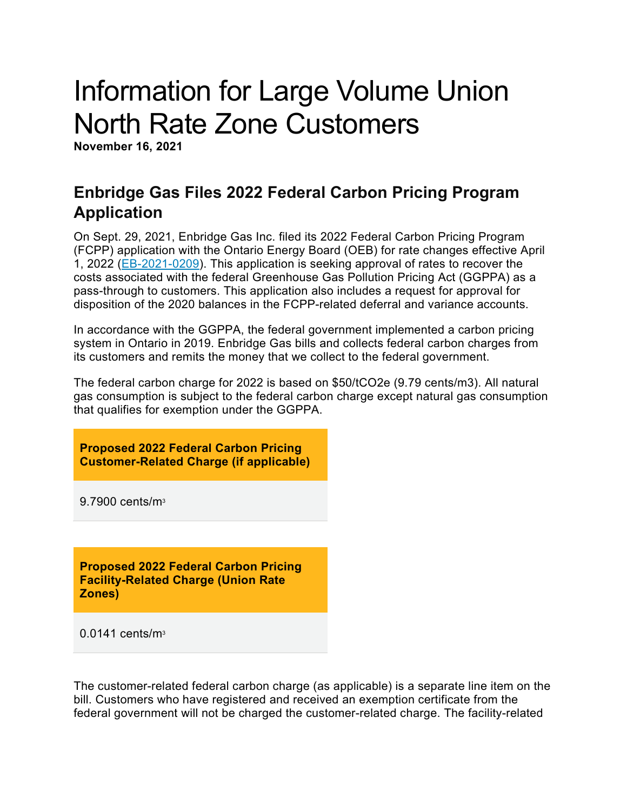# Information for Large Volume Union North Rate Zone Customers

**November 16, 2021**

### **Enbridge Gas Files 2022 Federal Carbon Pricing Program Application**

On Sept. 29, 2021, Enbridge Gas Inc. filed its 2022 Federal Carbon Pricing Program (FCPP) application with the Ontario Energy Board (OEB) for rate changes effective April 1, 2022 [\(EB-2021-0209\)](https://www.enbridgegas.com/about-enbridge-gas/regulatory). This application is seeking approval of rates to recover the costs associated with the federal Greenhouse Gas Pollution Pricing Act (GGPPA) as a pass-through to customers. This application also includes a request for approval for disposition of the 2020 balances in the FCPP-related deferral and variance accounts.

In accordance with the GGPPA, the federal government implemented a carbon pricing system in Ontario in 2019. Enbridge Gas bills and collects federal carbon charges from its customers and remits the money that we collect to the federal government.

The federal carbon charge for 2022 is based on \$50/tCO2e (9.79 cents/m3). All natural gas consumption is subject to the federal carbon charge except natural gas consumption that qualifies for exemption under the GGPPA.

**Proposed 2022 Federal Carbon Pricing Customer-Related Charge (if applicable)**

9.7900 cents/m3

**Proposed 2022 Federal Carbon Pricing Facility-Related Charge (Union Rate Zones)**

0.0141 cents/m3

The customer-related federal carbon charge (as applicable) is a separate line item on the bill. Customers who have registered and received an exemption certificate from the federal government will not be charged the customer-related charge. The facility-related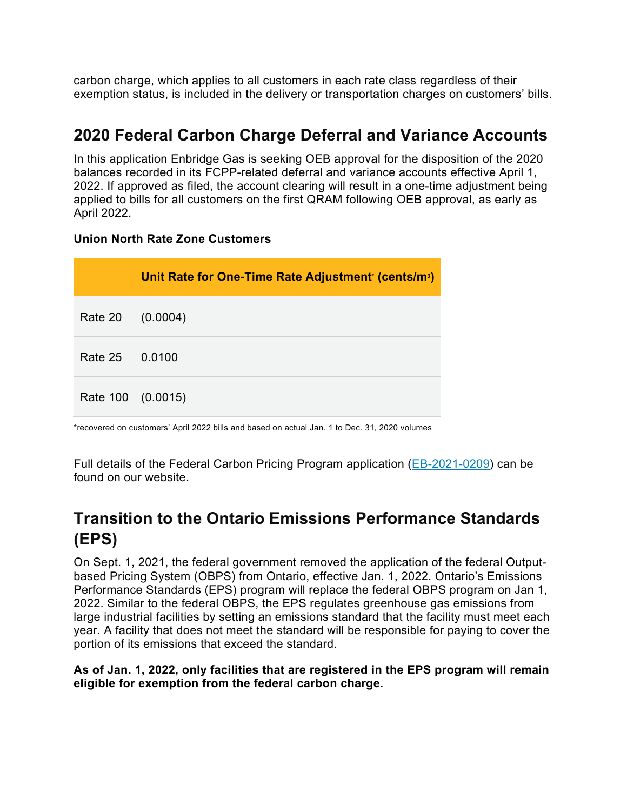carbon charge, which applies to all customers in each rate class regardless of their exemption status, is included in the delivery or transportation charges on customers' bills.

### **2020 Federal Carbon Charge Deferral and Variance Accounts**

In this application Enbridge Gas is seeking OEB approval for the disposition of the 2020 balances recorded in its FCPP-related deferral and variance accounts effective April 1, 2022. If approved as filed, the account clearing will result in a one-time adjustment being applied to bills for all customers on the first QRAM following OEB approval, as early as April 2022.

#### **Union North Rate Zone Customers**

|                 | Unit Rate for One-Time Rate Adjustment' (cents/m <sup>3</sup> ) |
|-----------------|-----------------------------------------------------------------|
| Rate 20         | (0.0004)                                                        |
| Rate 25         | 0.0100                                                          |
| <b>Rate 100</b> | (0.0015)                                                        |

\*recovered on customers' April 2022 bills and based on actual Jan. 1 to Dec. 31, 2020 volumes

Full details of the Federal Carbon Pricing Program application [\(EB-2021-0209\)](https://www.enbridgegas.com/about-enbridge-gas/regulatory) can be found on our website.

### **Transition to the Ontario Emissions Performance Standards (EPS)**

On Sept. 1, 2021, the federal government removed the application of the federal Outputbased Pricing System (OBPS) from Ontario, effective Jan. 1, 2022. Ontario's Emissions Performance Standards (EPS) program will replace the federal OBPS program on Jan 1, 2022. Similar to the federal OBPS, the EPS regulates greenhouse gas emissions from large industrial facilities by setting an emissions standard that the facility must meet each year. A facility that does not meet the standard will be responsible for paying to cover the portion of its emissions that exceed the standard.

#### **As of Jan. 1, 2022, only facilities that are registered in the EPS program will remain eligible for exemption from the federal carbon charge.**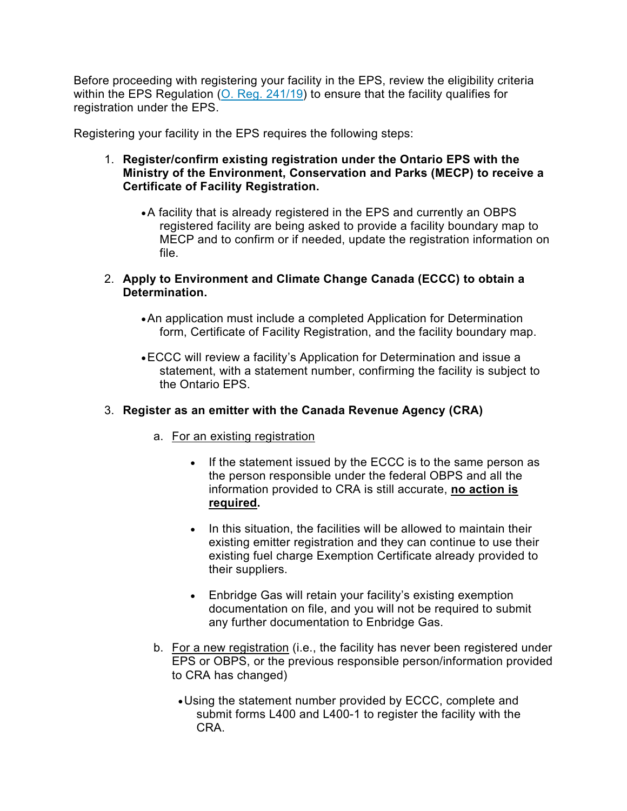Before proceeding with registering your facility in the EPS, review the eligibility criteria within the EPS Regulation [\(O. Reg. 241/19\)](https://www.ontario.ca/laws/regulation/r19241) to ensure that the facility qualifies for registration under the EPS.

Registering your facility in the EPS requires the following steps:

- 1. **Register/confirm existing registration under the Ontario EPS with the Ministry of the Environment, Conservation and Parks (MECP) to receive a Certificate of Facility Registration.**
	- •A facility that is already registered in the EPS and currently an OBPS registered facility are being asked to provide a facility boundary map to MECP and to confirm or if needed, update the registration information on file.
- 2. **Apply to Environment and Climate Change Canada (ECCC) to obtain a Determination.**
	- •An application must include a completed Application for Determination form, Certificate of Facility Registration, and the facility boundary map.
	- •ECCC will review a facility's Application for Determination and issue a statement, with a statement number, confirming the facility is subject to the Ontario EPS.

#### 3. **Register as an emitter with the Canada Revenue Agency (CRA)**

- a. For an existing registration
	- If the statement issued by the ECCC is to the same person as the person responsible under the federal OBPS and all the information provided to CRA is still accurate, **no action is required.**
	- In this situation, the facilities will be allowed to maintain their existing emitter registration and they can continue to use their existing fuel charge Exemption Certificate already provided to their suppliers.
	- Enbridge Gas will retain your facility's existing exemption documentation on file, and you will not be required to submit any further documentation to Enbridge Gas.
- b. For a new registration (i.e., the facility has never been registered under EPS or OBPS, or the previous responsible person/information provided to CRA has changed)
	- •Using the statement number provided by ECCC, complete and submit forms L400 and L400-1 to register the facility with the CRA.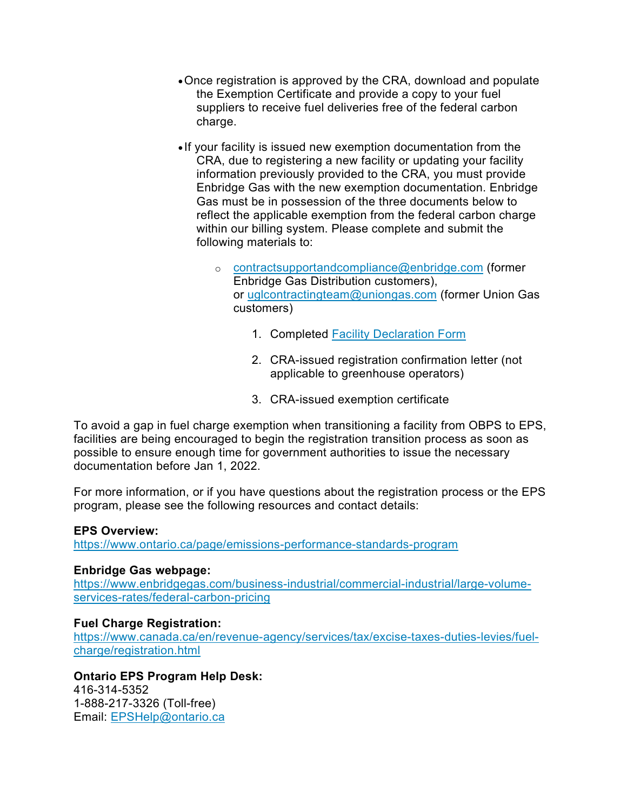- •Once registration is approved by the CRA, download and populate the Exemption Certificate and provide a copy to your fuel suppliers to receive fuel deliveries free of the federal carbon charge.
- If your facility is issued new exemption documentation from the CRA, due to registering a new facility or updating your facility information previously provided to the CRA, you must provide Enbridge Gas with the new exemption documentation. Enbridge Gas must be in possession of the three documents below to reflect the applicable exemption from the federal carbon charge within our billing system. Please complete and submit the following materials to:
	- o [contractsupportandcompliance@enbridge.com](mailto:contractsupportandcompliance@enbridge.com) (former Enbridge Gas Distribution customers), or [uglcontractingteam@uniongas.com](mailto:uglcontractingteam@uniongas.com) (former Union Gas customers)
		- 1. Completed [Facility Declaration Form](https://www.enbridgegas.com/-/media/Extranet-Pages/Business-and-industrial/Commercial-and-Industrial/Large-Volume-Rates-and-Services/Federal-Carbon-Pricing/Facility-Declaration-Form.ashx?rev=41f2018cd2ba4cd48dc7eea81745c0c2&hash=20FBABB68C746BEB65B4B891ADF47121)
		- 2. CRA-issued registration confirmation letter (not applicable to greenhouse operators)
		- 3. CRA-issued exemption certificate

To avoid a gap in fuel charge exemption when transitioning a facility from OBPS to EPS, facilities are being encouraged to begin the registration transition process as soon as possible to ensure enough time for government authorities to issue the necessary documentation before Jan 1, 2022.

For more information, or if you have questions about the registration process or the EPS program, please see the following resources and contact details:

#### **EPS Overview:**

<https://www.ontario.ca/page/emissions-performance-standards-program>

#### **Enbridge Gas webpage:**

[https://www.enbridgegas.com/business-industrial/commercial-industrial/large-volume](https://www.enbridgegas.com/business-industrial/commercial-industrial/large-volume-services-rates/federal-carbon-pricing)[services-rates/federal-carbon-pricing](https://www.enbridgegas.com/business-industrial/commercial-industrial/large-volume-services-rates/federal-carbon-pricing)

#### **Fuel Charge Registration:**

[https://www.canada.ca/en/revenue-agency/services/tax/excise-taxes-duties-levies/fuel](https://www.canada.ca/en/revenue-agency/services/tax/excise-taxes-duties-levies/fuel-charge/registration.html)[charge/registration.html](https://www.canada.ca/en/revenue-agency/services/tax/excise-taxes-duties-levies/fuel-charge/registration.html)

#### **Ontario EPS Program Help Desk:**

416-314-5352 1-888-217-3326 (Toll-free) Email: [EPSHelp@ontario.ca](mailto:EPSHelp@ontario.ca)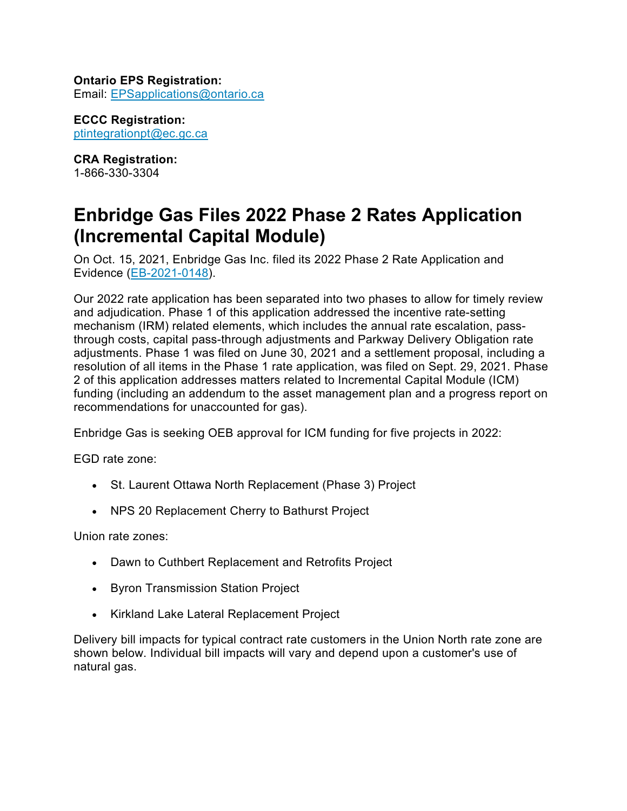#### **Ontario EPS Registration:** Email: [EPSapplications@ontario.ca](mailto:EPSapplications@ontario.ca)

**ECCC Registration:** [ptintegrationpt@ec.gc.ca](mailto:ptintegrationpt@ec.gc.ca)

**CRA Registration:** 1-866-330-3304

## **Enbridge Gas Files 2022 Phase 2 Rates Application (Incremental Capital Module)**

On Oct. 15, 2021, Enbridge Gas Inc. filed its 2022 Phase 2 Rate Application and Evidence [\(EB-2021-0148\)](https://www.enbridgegas.com/about-enbridge-gas/regulatory).

Our 2022 rate application has been separated into two phases to allow for timely review and adjudication. Phase 1 of this application addressed the incentive rate-setting mechanism (IRM) related elements, which includes the annual rate escalation, passthrough costs, capital pass-through adjustments and Parkway Delivery Obligation rate adjustments. Phase 1 was filed on June 30, 2021 and a settlement proposal, including a resolution of all items in the Phase 1 rate application, was filed on Sept. 29, 2021. Phase 2 of this application addresses matters related to Incremental Capital Module (ICM) funding (including an addendum to the asset management plan and a progress report on recommendations for unaccounted for gas).

Enbridge Gas is seeking OEB approval for ICM funding for five projects in 2022:

EGD rate zone:

- St. Laurent Ottawa North Replacement (Phase 3) Project
- NPS 20 Replacement Cherry to Bathurst Project

Union rate zones:

- Dawn to Cuthbert Replacement and Retrofits Project
- Byron Transmission Station Project
- Kirkland Lake Lateral Replacement Project

Delivery bill impacts for typical contract rate customers in the Union North rate zone are shown below. Individual bill impacts will vary and depend upon a customer's use of natural gas.